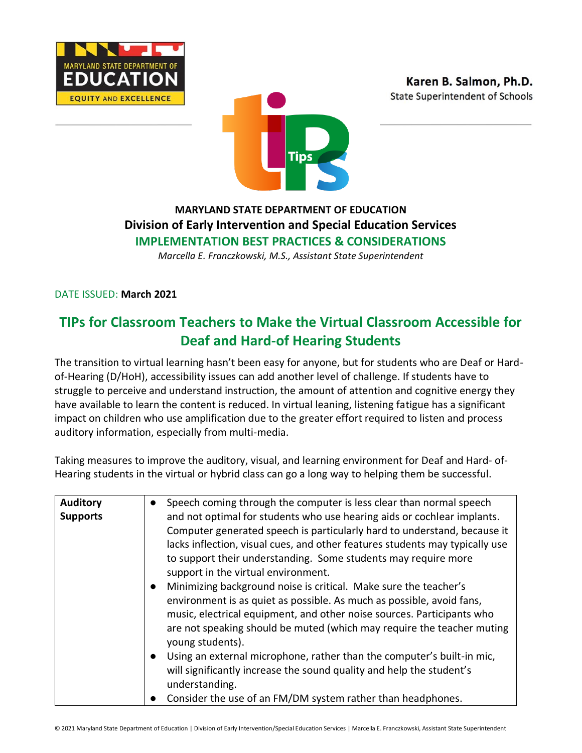





# **MARYLAND STATE DEPARTMENT OF EDUCATION Division of Early Intervention and Special Education Services IMPLEMENTATION BEST PRACTICES & CONSIDERATIONS**

*Marcella E. Franczkowski, M.S., Assistant State Superintendent*

DATE ISSUED: **March 2021**

# **TIPs for Classroom Teachers to Make the Virtual Classroom Accessible for Deaf and Hard-of Hearing Students**

The transition to virtual learning hasn't been easy for anyone, but for students who are Deaf or Hardof-Hearing (D/HoH), accessibility issues can add another level of challenge. If students have to struggle to perceive and understand instruction, the amount of attention and cognitive energy they have available to learn the content is reduced. In virtual leaning, listening fatigue has a significant impact on children who use amplification due to the greater effort required to listen and process auditory information, especially from multi-media.

Taking measures to improve the auditory, visual, and learning environment for Deaf and Hard- of-Hearing students in the virtual or hybrid class can go a long way to helping them be successful.

| <b>Auditory</b> | Speech coming through the computer is less clear than normal speech                 |
|-----------------|-------------------------------------------------------------------------------------|
| <b>Supports</b> | and not optimal for students who use hearing aids or cochlear implants.             |
|                 | Computer generated speech is particularly hard to understand, because it            |
|                 | lacks inflection, visual cues, and other features students may typically use        |
|                 | to support their understanding. Some students may require more                      |
|                 | support in the virtual environment.                                                 |
|                 | Minimizing background noise is critical. Make sure the teacher's<br>$\bullet$       |
|                 | environment is as quiet as possible. As much as possible, avoid fans,               |
|                 | music, electrical equipment, and other noise sources. Participants who              |
|                 | are not speaking should be muted (which may require the teacher muting              |
|                 | young students).                                                                    |
|                 | Using an external microphone, rather than the computer's built-in mic,<br>$\bullet$ |
|                 | will significantly increase the sound quality and help the student's                |
|                 | understanding.                                                                      |
|                 | Consider the use of an FM/DM system rather than headphones.                         |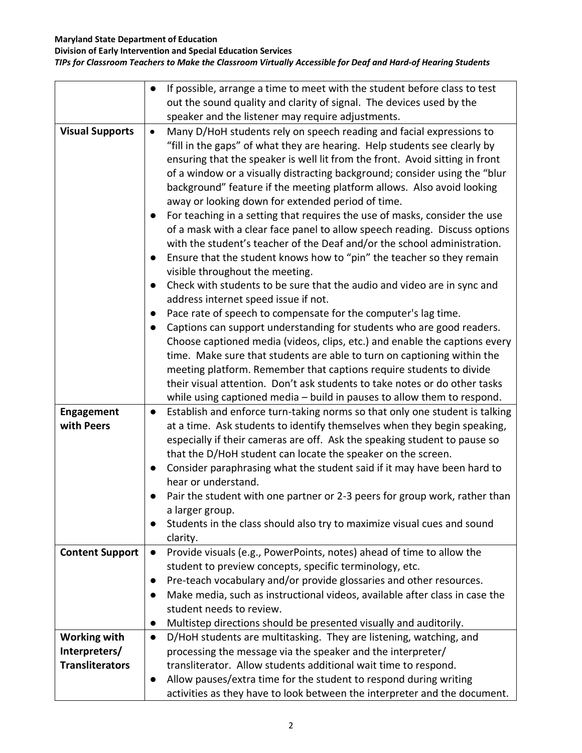### **Maryland State Department of Education**

**Division of Early Intervention and Special Education Services**

## *TIPs for Classroom Teachers to Make the Classroom Virtually Accessible for Deaf and Hard-of Hearing Students*

|                                 | If possible, arrange a time to meet with the student before class to test<br>$\bullet$                                                                                                                                                                                                                                                                                                                                                                                                                                                                                                                                                                                                                                                                                                                                                                                                                                                                                                                                                                                                                                                                                                                                                                                                                                                                            |
|---------------------------------|-------------------------------------------------------------------------------------------------------------------------------------------------------------------------------------------------------------------------------------------------------------------------------------------------------------------------------------------------------------------------------------------------------------------------------------------------------------------------------------------------------------------------------------------------------------------------------------------------------------------------------------------------------------------------------------------------------------------------------------------------------------------------------------------------------------------------------------------------------------------------------------------------------------------------------------------------------------------------------------------------------------------------------------------------------------------------------------------------------------------------------------------------------------------------------------------------------------------------------------------------------------------------------------------------------------------------------------------------------------------|
|                                 | out the sound quality and clarity of signal. The devices used by the                                                                                                                                                                                                                                                                                                                                                                                                                                                                                                                                                                                                                                                                                                                                                                                                                                                                                                                                                                                                                                                                                                                                                                                                                                                                                              |
|                                 | speaker and the listener may require adjustments.                                                                                                                                                                                                                                                                                                                                                                                                                                                                                                                                                                                                                                                                                                                                                                                                                                                                                                                                                                                                                                                                                                                                                                                                                                                                                                                 |
| <b>Visual Supports</b>          | Many D/HoH students rely on speech reading and facial expressions to<br>$\bullet$<br>"fill in the gaps" of what they are hearing. Help students see clearly by<br>ensuring that the speaker is well lit from the front. Avoid sitting in front<br>of a window or a visually distracting background; consider using the "blur<br>background" feature if the meeting platform allows. Also avoid looking<br>away or looking down for extended period of time.<br>For teaching in a setting that requires the use of masks, consider the use<br>$\bullet$<br>of a mask with a clear face panel to allow speech reading. Discuss options<br>with the student's teacher of the Deaf and/or the school administration.<br>Ensure that the student knows how to "pin" the teacher so they remain<br>$\bullet$<br>visible throughout the meeting.<br>Check with students to be sure that the audio and video are in sync and<br>address internet speed issue if not.<br>Pace rate of speech to compensate for the computer's lag time.<br>$\bullet$<br>Captions can support understanding for students who are good readers.<br>$\bullet$<br>Choose captioned media (videos, clips, etc.) and enable the captions every<br>time. Make sure that students are able to turn on captioning within the<br>meeting platform. Remember that captions require students to divide |
|                                 | their visual attention. Don't ask students to take notes or do other tasks                                                                                                                                                                                                                                                                                                                                                                                                                                                                                                                                                                                                                                                                                                                                                                                                                                                                                                                                                                                                                                                                                                                                                                                                                                                                                        |
|                                 | while using captioned media - build in pauses to allow them to respond.                                                                                                                                                                                                                                                                                                                                                                                                                                                                                                                                                                                                                                                                                                                                                                                                                                                                                                                                                                                                                                                                                                                                                                                                                                                                                           |
| <b>Engagement</b><br>with Peers | Establish and enforce turn-taking norms so that only one student is talking<br>$\bullet$<br>at a time. Ask students to identify themselves when they begin speaking,                                                                                                                                                                                                                                                                                                                                                                                                                                                                                                                                                                                                                                                                                                                                                                                                                                                                                                                                                                                                                                                                                                                                                                                              |
|                                 | especially if their cameras are off. Ask the speaking student to pause so                                                                                                                                                                                                                                                                                                                                                                                                                                                                                                                                                                                                                                                                                                                                                                                                                                                                                                                                                                                                                                                                                                                                                                                                                                                                                         |
|                                 | that the D/HoH student can locate the speaker on the screen.                                                                                                                                                                                                                                                                                                                                                                                                                                                                                                                                                                                                                                                                                                                                                                                                                                                                                                                                                                                                                                                                                                                                                                                                                                                                                                      |
|                                 | Consider paraphrasing what the student said if it may have been hard to                                                                                                                                                                                                                                                                                                                                                                                                                                                                                                                                                                                                                                                                                                                                                                                                                                                                                                                                                                                                                                                                                                                                                                                                                                                                                           |
|                                 | hear or understand.                                                                                                                                                                                                                                                                                                                                                                                                                                                                                                                                                                                                                                                                                                                                                                                                                                                                                                                                                                                                                                                                                                                                                                                                                                                                                                                                               |
|                                 | Pair the student with one partner or 2-3 peers for group work, rather than                                                                                                                                                                                                                                                                                                                                                                                                                                                                                                                                                                                                                                                                                                                                                                                                                                                                                                                                                                                                                                                                                                                                                                                                                                                                                        |
|                                 | a larger group.                                                                                                                                                                                                                                                                                                                                                                                                                                                                                                                                                                                                                                                                                                                                                                                                                                                                                                                                                                                                                                                                                                                                                                                                                                                                                                                                                   |
|                                 | Students in the class should also try to maximize visual cues and sound                                                                                                                                                                                                                                                                                                                                                                                                                                                                                                                                                                                                                                                                                                                                                                                                                                                                                                                                                                                                                                                                                                                                                                                                                                                                                           |
|                                 | clarity.                                                                                                                                                                                                                                                                                                                                                                                                                                                                                                                                                                                                                                                                                                                                                                                                                                                                                                                                                                                                                                                                                                                                                                                                                                                                                                                                                          |
| <b>Content Support</b>          | Provide visuals (e.g., PowerPoints, notes) ahead of time to allow the<br>$\bullet$                                                                                                                                                                                                                                                                                                                                                                                                                                                                                                                                                                                                                                                                                                                                                                                                                                                                                                                                                                                                                                                                                                                                                                                                                                                                                |
|                                 | student to preview concepts, specific terminology, etc.<br>Pre-teach vocabulary and/or provide glossaries and other resources.                                                                                                                                                                                                                                                                                                                                                                                                                                                                                                                                                                                                                                                                                                                                                                                                                                                                                                                                                                                                                                                                                                                                                                                                                                    |
|                                 | $\bullet$<br>Make media, such as instructional videos, available after class in case the<br>$\bullet$                                                                                                                                                                                                                                                                                                                                                                                                                                                                                                                                                                                                                                                                                                                                                                                                                                                                                                                                                                                                                                                                                                                                                                                                                                                             |
|                                 | student needs to review.                                                                                                                                                                                                                                                                                                                                                                                                                                                                                                                                                                                                                                                                                                                                                                                                                                                                                                                                                                                                                                                                                                                                                                                                                                                                                                                                          |
|                                 | Multistep directions should be presented visually and auditorily.<br>$\bullet$                                                                                                                                                                                                                                                                                                                                                                                                                                                                                                                                                                                                                                                                                                                                                                                                                                                                                                                                                                                                                                                                                                                                                                                                                                                                                    |
| <b>Working with</b>             | D/HoH students are multitasking. They are listening, watching, and<br>$\bullet$                                                                                                                                                                                                                                                                                                                                                                                                                                                                                                                                                                                                                                                                                                                                                                                                                                                                                                                                                                                                                                                                                                                                                                                                                                                                                   |
| Interpreters/                   | processing the message via the speaker and the interpreter/                                                                                                                                                                                                                                                                                                                                                                                                                                                                                                                                                                                                                                                                                                                                                                                                                                                                                                                                                                                                                                                                                                                                                                                                                                                                                                       |
| <b>Transliterators</b>          | transliterator. Allow students additional wait time to respond.                                                                                                                                                                                                                                                                                                                                                                                                                                                                                                                                                                                                                                                                                                                                                                                                                                                                                                                                                                                                                                                                                                                                                                                                                                                                                                   |
|                                 | Allow pauses/extra time for the student to respond during writing                                                                                                                                                                                                                                                                                                                                                                                                                                                                                                                                                                                                                                                                                                                                                                                                                                                                                                                                                                                                                                                                                                                                                                                                                                                                                                 |
|                                 | activities as they have to look between the interpreter and the document.                                                                                                                                                                                                                                                                                                                                                                                                                                                                                                                                                                                                                                                                                                                                                                                                                                                                                                                                                                                                                                                                                                                                                                                                                                                                                         |